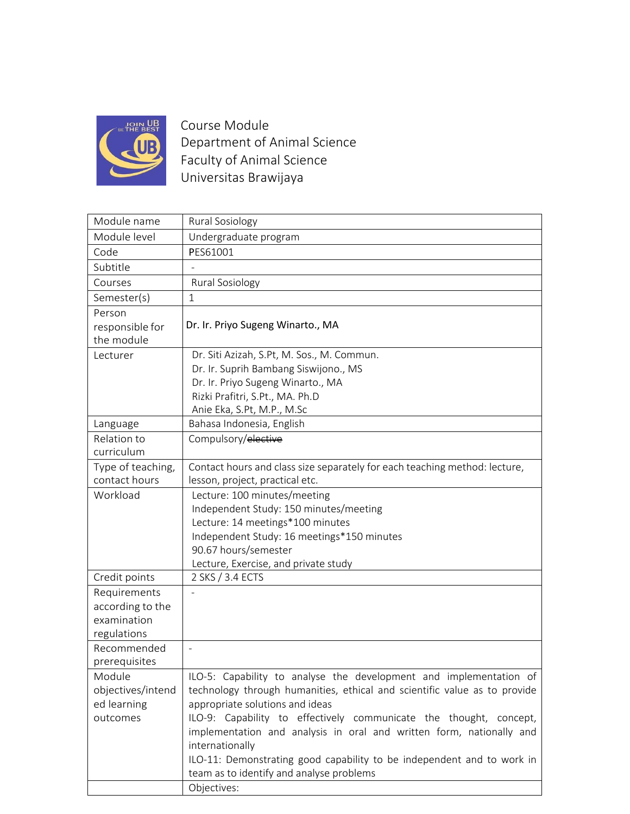

Course Module Department of Animal Science Faculty of Animal Science Universitas Brawijaya

| Module name               | Rural Sosiology                                                                         |
|---------------------------|-----------------------------------------------------------------------------------------|
| Module level              | Undergraduate program                                                                   |
| Code                      | PES61001                                                                                |
| Subtitle                  |                                                                                         |
| Courses                   | Rural Sosiology                                                                         |
| Semester(s)               | $\mathbf 1$                                                                             |
| Person                    |                                                                                         |
| responsible for           | Dr. Ir. Priyo Sugeng Winarto., MA                                                       |
| the module                |                                                                                         |
| Lecturer                  | Dr. Siti Azizah, S.Pt, M. Sos., M. Commun.                                              |
|                           | Dr. Ir. Suprih Bambang Siswijono., MS                                                   |
|                           | Dr. Ir. Priyo Sugeng Winarto., MA                                                       |
|                           | Rizki Prafitri, S.Pt., MA. Ph.D                                                         |
|                           | Anie Eka, S.Pt, M.P., M.Sc                                                              |
| Language                  | Bahasa Indonesia, English                                                               |
| Relation to<br>curriculum | Compulsory/elective                                                                     |
| Type of teaching,         | Contact hours and class size separately for each teaching method: lecture,              |
| contact hours             | lesson, project, practical etc.                                                         |
| Workload                  | Lecture: 100 minutes/meeting                                                            |
|                           | Independent Study: 150 minutes/meeting                                                  |
|                           | Lecture: 14 meetings*100 minutes                                                        |
|                           | Independent Study: 16 meetings*150 minutes                                              |
|                           | 90.67 hours/semester                                                                    |
|                           | Lecture, Exercise, and private study                                                    |
| Credit points             | 2 SKS / 3.4 ECTS                                                                        |
| Requirements              |                                                                                         |
| according to the          |                                                                                         |
| examination               |                                                                                         |
| regulations               |                                                                                         |
| Recommended               |                                                                                         |
| prerequisites             |                                                                                         |
| Module                    | ILO-5: Capability to analyse the development and implementation of                      |
| objectives/intend         | technology through humanities, ethical and scientific value as to provide               |
| ed learning               | appropriate solutions and ideas                                                         |
| outcomes                  | ILO-9: Capability to effectively communicate the thought, concept,                      |
|                           | implementation and analysis in oral and written form, nationally and<br>internationally |
|                           | ILO-11: Demonstrating good capability to be independent and to work in                  |
|                           | team as to identify and analyse problems                                                |
|                           | Objectives:                                                                             |
|                           |                                                                                         |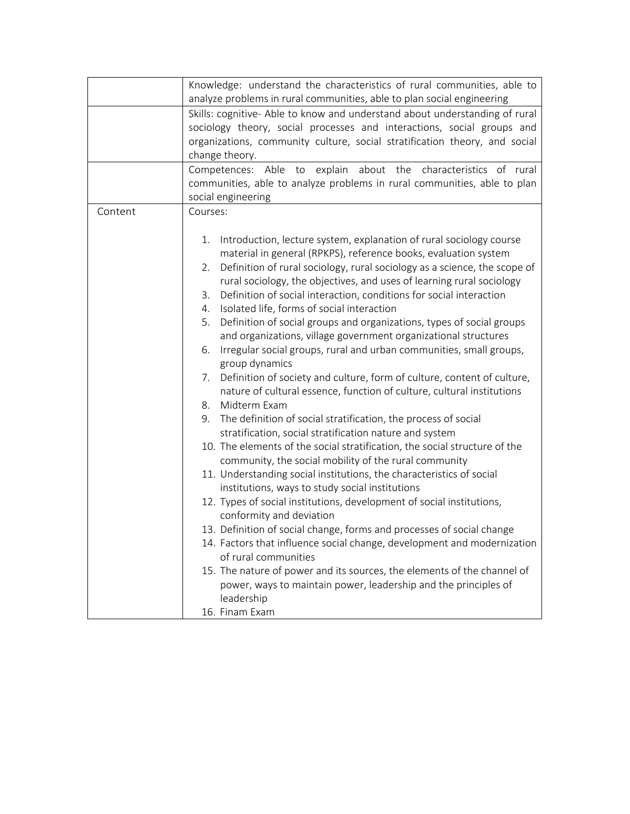|         | Knowledge: understand the characteristics of rural communities, able to                     |
|---------|---------------------------------------------------------------------------------------------|
|         | analyze problems in rural communities, able to plan social engineering                      |
|         | Skills: cognitive- Able to know and understand about understanding of rural                 |
|         | sociology theory, social processes and interactions, social groups and                      |
|         | organizations, community culture, social stratification theory, and social                  |
|         | change theory.                                                                              |
|         | Competences: Able to explain about the characteristics of rural                             |
|         | communities, able to analyze problems in rural communities, able to plan                    |
|         | social engineering                                                                          |
| Content | Courses:                                                                                    |
|         |                                                                                             |
|         |                                                                                             |
|         | Introduction, lecture system, explanation of rural sociology course<br>1.                   |
|         | material in general (RPKPS), reference books, evaluation system                             |
|         | Definition of rural sociology, rural sociology as a science, the scope of<br>2.             |
|         | rural sociology, the objectives, and uses of learning rural sociology                       |
|         | Definition of social interaction, conditions for social interaction<br>3.                   |
|         | Isolated life, forms of social interaction<br>4.                                            |
|         | Definition of social groups and organizations, types of social groups<br>5.                 |
|         | and organizations, village government organizational structures                             |
|         | Irregular social groups, rural and urban communities, small groups,<br>6.<br>group dynamics |
|         | Definition of society and culture, form of culture, content of culture,<br>7.               |
|         | nature of cultural essence, function of culture, cultural institutions                      |
|         | Midterm Exam<br>8.                                                                          |
|         | The definition of social stratification, the process of social<br>9.                        |
|         | stratification, social stratification nature and system                                     |
|         | 10. The elements of the social stratification, the social structure of the                  |
|         | community, the social mobility of the rural community                                       |
|         | 11. Understanding social institutions, the characteristics of social                        |
|         | institutions, ways to study social institutions                                             |
|         | 12. Types of social institutions, development of social institutions,                       |
|         | conformity and deviation                                                                    |
|         | 13. Definition of social change, forms and processes of social change                       |
|         | 14. Factors that influence social change, development and modernization                     |
|         | of rural communities                                                                        |
|         | 15. The nature of power and its sources, the elements of the channel of                     |
|         | power, ways to maintain power, leadership and the principles of                             |
|         | leadership                                                                                  |
|         | 16. Finam Exam                                                                              |